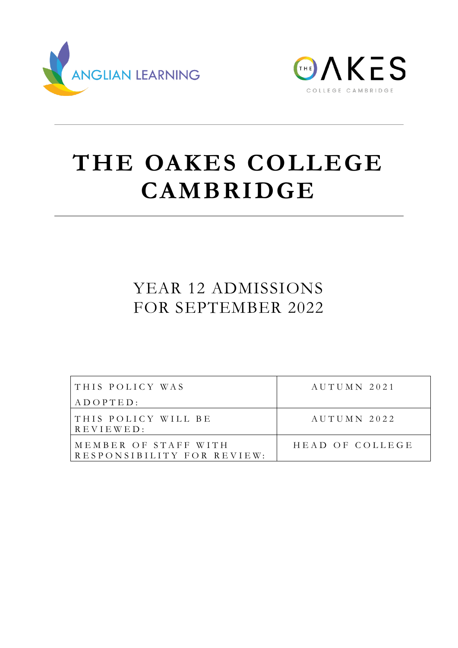



# **THE OAKES COLLEGE CAMBRIDGE**

# YEAR 12 ADMISSIONS FOR SEPTEMBER 2022

| THIS POLICY WAS                                    | AUTUMN 2021     |
|----------------------------------------------------|-----------------|
| $A D O P T E D$ :                                  |                 |
| THIS POLICY WILL BE<br>$R E V I E W E D$ :         | AUTIIMN 2022    |
| MEMBER OF STAFF WITH<br>RESPONSIBILITY FOR REVIEW: | HEAD OF COLLEGE |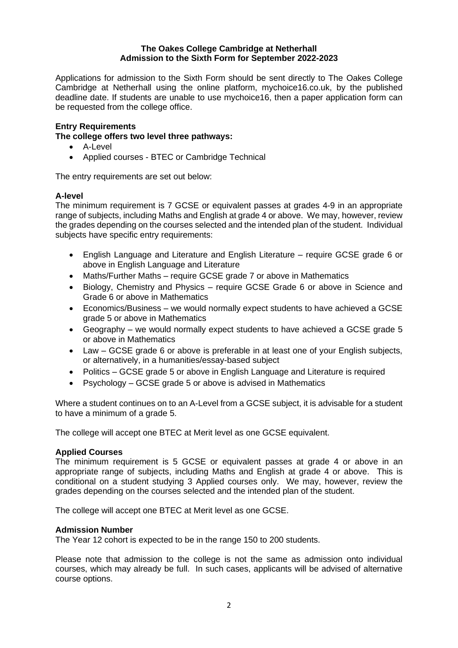#### **The Oakes College Cambridge at Netherhall Admission to the Sixth Form for September 2022-2023**

Applications for admission to the Sixth Form should be sent directly to The Oakes College Cambridge at Netherhall using the online platform, mychoice16.co.uk, by the published deadline date. If students are unable to use mychoice16, then a paper application form can be requested from the college office.

# **Entry Requirements**

**The college offers two level three pathways:**

- A-Level
- Applied courses BTEC or Cambridge Technical

The entry requirements are set out below:

# **A-level**

The minimum requirement is 7 GCSE or equivalent passes at grades 4-9 in an appropriate range of subjects, including Maths and English at grade 4 or above. We may, however, review the grades depending on the courses selected and the intended plan of the student. Individual subjects have specific entry requirements:

- English Language and Literature and English Literature require GCSE grade 6 or above in English Language and Literature
- Maths/Further Maths require GCSE grade 7 or above in Mathematics
- Biology, Chemistry and Physics require GCSE Grade 6 or above in Science and Grade 6 or above in Mathematics
- Economics/Business we would normally expect students to have achieved a GCSE grade 5 or above in Mathematics
- Geography we would normally expect students to have achieved a GCSE grade 5 or above in Mathematics
- Law GCSE grade 6 or above is preferable in at least one of your English subjects, or alternatively, in a humanities/essay-based subject
- Politics GCSE grade 5 or above in English Language and Literature is required
- Psychology GCSE grade 5 or above is advised in Mathematics

Where a student continues on to an A-Level from a GCSE subject, it is advisable for a student to have a minimum of a grade 5.

The college will accept one BTEC at Merit level as one GCSE equivalent.

# **Applied Courses**

The minimum requirement is 5 GCSE or equivalent passes at grade 4 or above in an appropriate range of subjects, including Maths and English at grade 4 or above. This is conditional on a student studying 3 Applied courses only. We may, however, review the grades depending on the courses selected and the intended plan of the student.

The college will accept one BTEC at Merit level as one GCSE.

#### **Admission Number**

The Year 12 cohort is expected to be in the range 150 to 200 students.

Please note that admission to the college is not the same as admission onto individual courses, which may already be full. In such cases, applicants will be advised of alternative course options.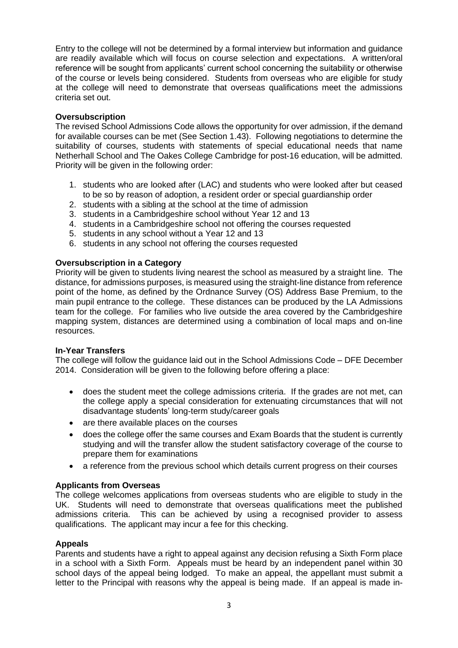Entry to the college will not be determined by a formal interview but information and guidance are readily available which will focus on course selection and expectations. A written/oral reference will be sought from applicants' current school concerning the suitability or otherwise of the course or levels being considered. Students from overseas who are eligible for study at the college will need to demonstrate that overseas qualifications meet the admissions criteria set out.

# **Oversubscription**

The revised School Admissions Code allows the opportunity for over admission, if the demand for available courses can be met (See Section 1.43). Following negotiations to determine the suitability of courses, students with statements of special educational needs that name Netherhall School and The Oakes College Cambridge for post-16 education, will be admitted. Priority will be given in the following order:

- 1. students who are looked after (LAC) and students who were looked after but ceased to be so by reason of adoption, a resident order or special guardianship order
- 2. students with a sibling at the school at the time of admission
- 3. students in a Cambridgeshire school without Year 12 and 13
- 4. students in a Cambridgeshire school not offering the courses requested
- 5. students in any school without a Year 12 and 13
- 6. students in any school not offering the courses requested

# **Oversubscription in a Category**

Priority will be given to students living nearest the school as measured by a straight line. The distance, for admissions purposes, is measured using the straight-line distance from reference point of the home, as defined by the Ordnance Survey (OS) Address Base Premium, to the main pupil entrance to the college. These distances can be produced by the LA Admissions team for the college. For families who live outside the area covered by the Cambridgeshire mapping system, distances are determined using a combination of local maps and on-line resources.

# **In-Year Transfers**

The college will follow the guidance laid out in the School Admissions Code – DFE December 2014. Consideration will be given to the following before offering a place:

- does the student meet the college admissions criteria. If the grades are not met, can the college apply a special consideration for extenuating circumstances that will not disadvantage students' long-term study/career goals
- are there available places on the courses
- does the college offer the same courses and Exam Boards that the student is currently studying and will the transfer allow the student satisfactory coverage of the course to prepare them for examinations
- a reference from the previous school which details current progress on their courses

# **Applicants from Overseas**

The college welcomes applications from overseas students who are eligible to study in the UK. Students will need to demonstrate that overseas qualifications meet the published admissions criteria. This can be achieved by using a recognised provider to assess qualifications. The applicant may incur a fee for this checking.

# **Appeals**

Parents and students have a right to appeal against any decision refusing a Sixth Form place in a school with a Sixth Form. Appeals must be heard by an independent panel within 30 school days of the appeal being lodged. To make an appeal, the appellant must submit a letter to the Principal with reasons why the appeal is being made. If an appeal is made in